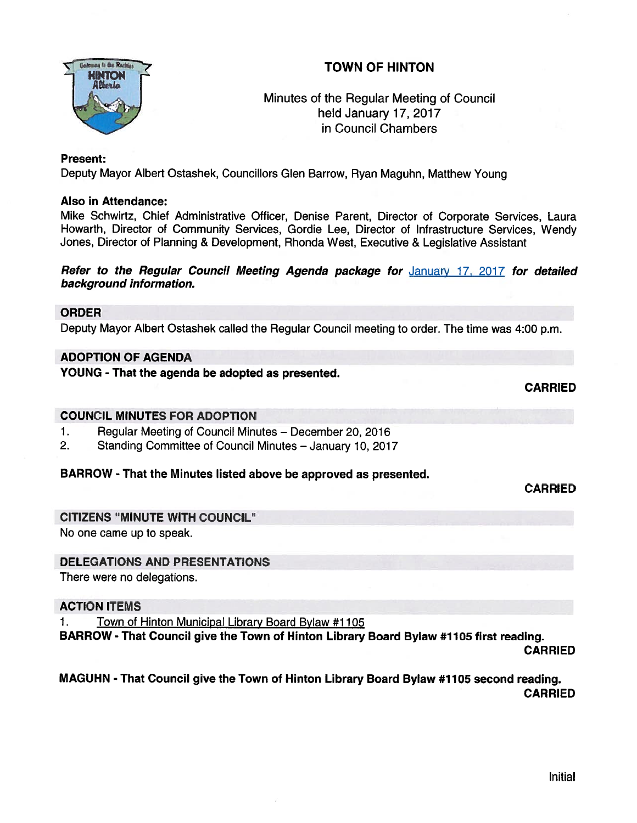# TOWN OF HINTON



# Minutes of the Regular Meeting of Council held January 17, 2017 in Council Chambers

#### Present:

Deputy Mayor Albert Ostashek, Councillors Glen Barrow, Ryan Maguhn, Matthew Young

#### Also in Attendance:

Mike Schwirtz, Chief Administrative Officer, Denise Parent, Director of Corporate Services, Laura Howarth, Director of Community Services, Gordie Lee, Director of Infrastructure Services, Wendy Jones, Director of Planning & Development, Rhonda West, Executive & Legislative Assistant

#### Refer to the Regular Council Meeting Agenda package for January 17, 2017 for detailed background information.

#### ORDER

Deputy Mayor Albert Ostashek called the Regular Council meeting to order. The time was 4:00 p.m.

## ADOPTION OF AGENDA

YOUNG - That the agenda be adopted as presented.

CARRIED

CARRIED

#### COUNCIL MINUTES FOR ADOPTION

- 1. Regular Meeting of Council Minutes December 20, 2016
- 2. Standing Committee of Council Minutes January 10, 2017

## BARROW - That the Minutes listed above be approved as presented.

CITIZENS "MINUTE WITH COUNCIL"

No one came up to speak.

## DELEGATIONS AND PRESENTATIONS

There were no delegations.

#### ACTION ITEMS

1. Town of Hinton Municipal Library Board Bylaw #1105

BARROW - That Council give the Town of Hinton Library Board Bylaw #1105 first reading.

CARRIED

#### MAGUHN - That Council <sup>g</sup>ive the Town of Hinton Library Board Bylaw #1105 second reading. CARRIED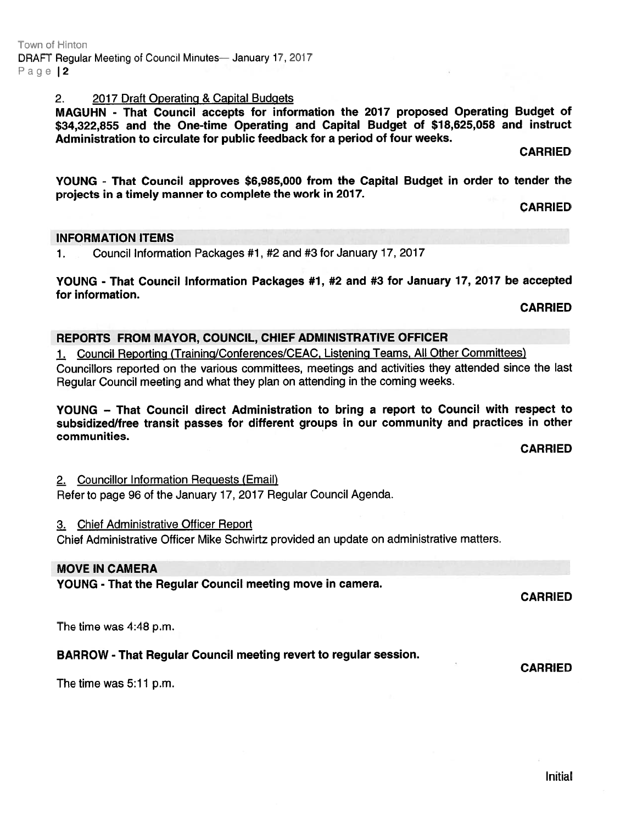## 2. 2017 Draft Operating & Capital Budgets

MAGUHN - That Council accepts for information the <sup>2017</sup> propose<sup>d</sup> Operating Budget of \$34,322,855 and the One-time Operating and Capital Budget of \$18,625,058 and instruct Administration to circulate for public feedback for <sup>a</sup> period of four weeks.

CARRIED

YOUNG - That Council approves \$6,985,000 from the Capital Budget in order to tender the projects in <sup>a</sup> timely manner to complete the work in 2017.

CARRIED

#### INFORMATION ITEMS

1. Council Information Packages #1, #2 and #3 for January 17, 2017

YOUNG - That Council Information Packages #1, #2 and #3 for January 17, 2017 be accepted for information.

CARRIED

#### REPORTS FROM MAYOR, COUNCIL, CHIEF ADMINISTRATIVE OFFICER

1. Council Reporting (Training/Conferences/CEAC, Listening Teams, All Other Committees)

Councillors reported on the various committees, meetings and activities they attended since the last Regular Council meeting and what they plan on attending in the coming weeks.

YOUNG — That Council direct Administration to bring <sup>a</sup> repor<sup>t</sup> to Council with respec<sup>t</sup> to subsidized/free transit passes for different groups in our community and practices in other communities.

CARRIED

2. Councillor Information Reguests (Email) Refer to page 96 of the January 17, 2017 Regular Council Agenda.

#### 3. Chief Administrative Officer Report

Chief Administrative Officer Mike Schwirtz provided an update on administrative matters.

#### MOVE IN CAMERA

YOUNG - That the Regular Council meeting move in camera.

CARRIED

CARRIED

The time was 4:48 p.m.

# BARROW - That Regular Council meeting revert to regular session.

The time was 5:11 p.m.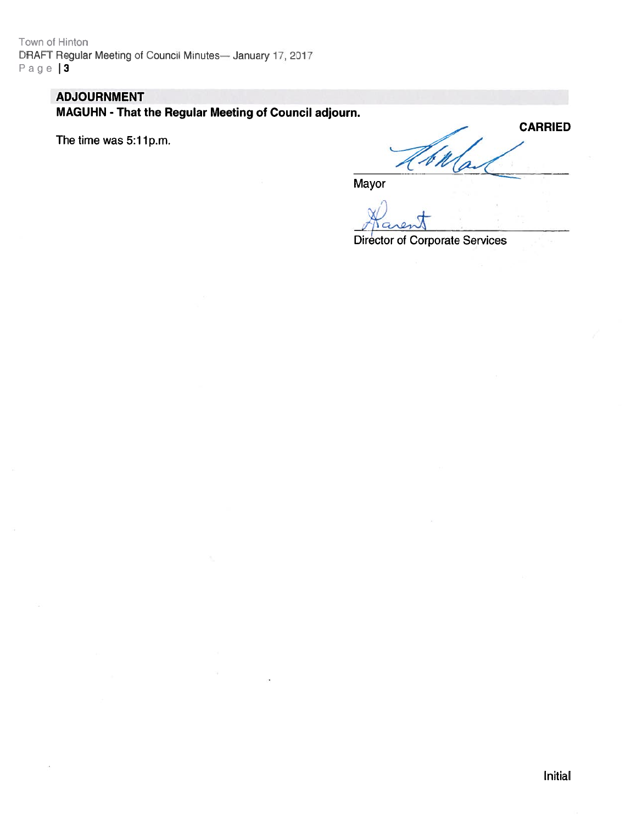Town of Hinton DRAFT Regular Meeting of Council Minutes— January 17, 2017 Page | 3

# ADJOURNMENT

MAGUHN - That the Regular Meeting of Council adjourn.

The time was 5:11p.m.

**CARRIED** V K

Mayor

 $\psi$ .-,:'

Director of Corporate Services